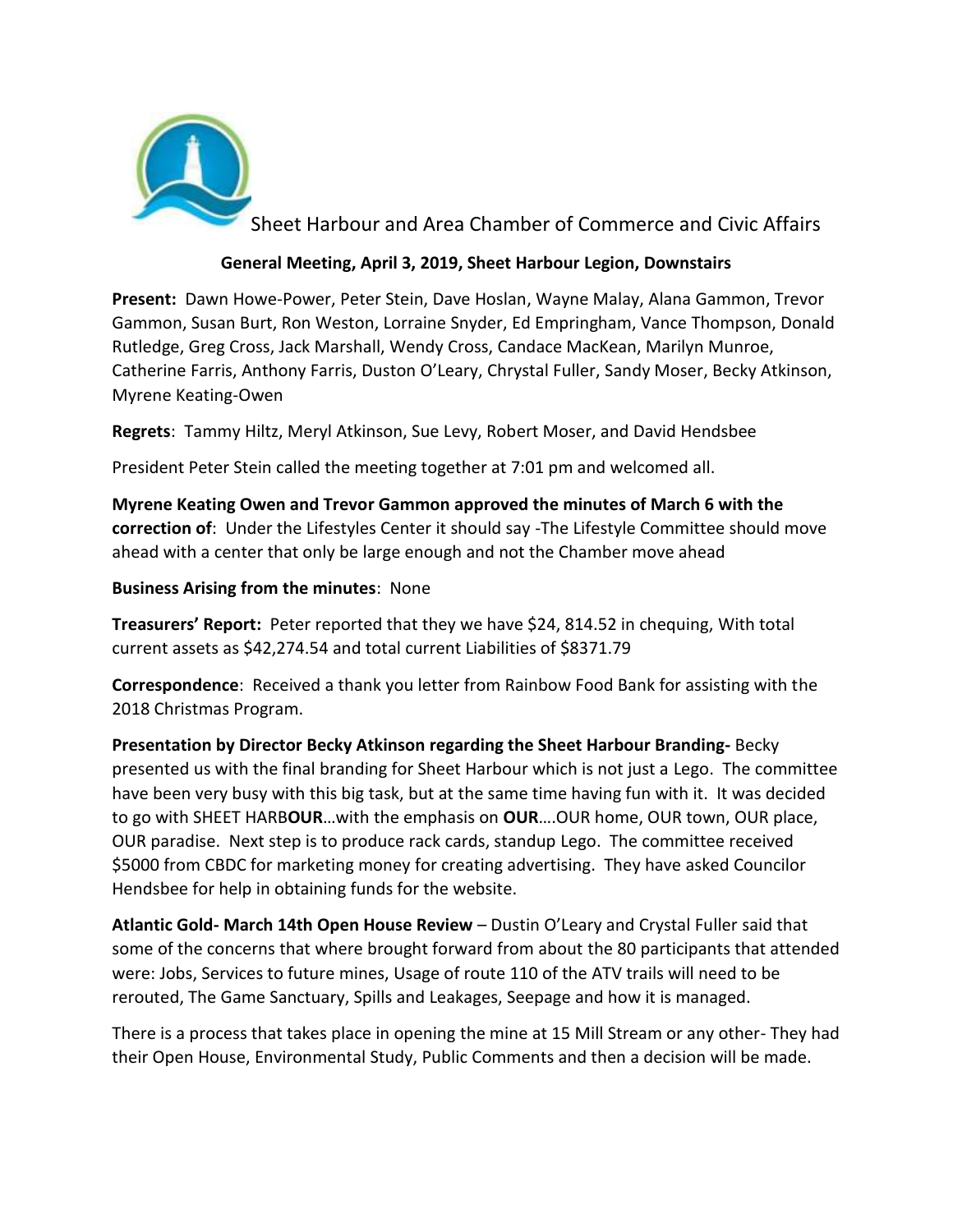

Sheet Harbour and Area Chamber of Commerce and Civic Affairs

## **General Meeting, April 3, 2019, Sheet Harbour Legion, Downstairs**

**Present:** Dawn Howe-Power, Peter Stein, Dave Hoslan, Wayne Malay, Alana Gammon, Trevor Gammon, Susan Burt, Ron Weston, Lorraine Snyder, Ed Empringham, Vance Thompson, Donald Rutledge, Greg Cross, Jack Marshall, Wendy Cross, Candace MacKean, Marilyn Munroe, Catherine Farris, Anthony Farris, Duston O'Leary, Chrystal Fuller, Sandy Moser, Becky Atkinson, Myrene Keating-Owen

**Regrets**: Tammy Hiltz, Meryl Atkinson, Sue Levy, Robert Moser, and David Hendsbee

President Peter Stein called the meeting together at 7:01 pm and welcomed all.

**Myrene Keating Owen and Trevor Gammon approved the minutes of March 6 with the correction of**: Under the Lifestyles Center it should say -The Lifestyle Committee should move ahead with a center that only be large enough and not the Chamber move ahead

**Business Arising from the minutes**: None

**Treasurers' Report:** Peter reported that they we have \$24, 814.52 in chequing, With total current assets as \$42,274.54 and total current Liabilities of \$8371.79

**Correspondence**: Received a thank you letter from Rainbow Food Bank for assisting with the 2018 Christmas Program.

**Presentation by Director Becky Atkinson regarding the Sheet Harbour Branding-** Becky presented us with the final branding for Sheet Harbour which is not just a Lego. The committee have been very busy with this big task, but at the same time having fun with it. It was decided to go with SHEET HARB**OUR**…with the emphasis on **OUR**….OUR home, OUR town, OUR place, OUR paradise. Next step is to produce rack cards, standup Lego. The committee received \$5000 from CBDC for marketing money for creating advertising. They have asked Councilor Hendsbee for help in obtaining funds for the website.

**Atlantic Gold- March 14th Open House Review** – Dustin O'Leary and Crystal Fuller said that some of the concerns that where brought forward from about the 80 participants that attended were: Jobs, Services to future mines, Usage of route 110 of the ATV trails will need to be rerouted, The Game Sanctuary, Spills and Leakages, Seepage and how it is managed.

There is a process that takes place in opening the mine at 15 Mill Stream or any other- They had their Open House, Environmental Study, Public Comments and then a decision will be made.